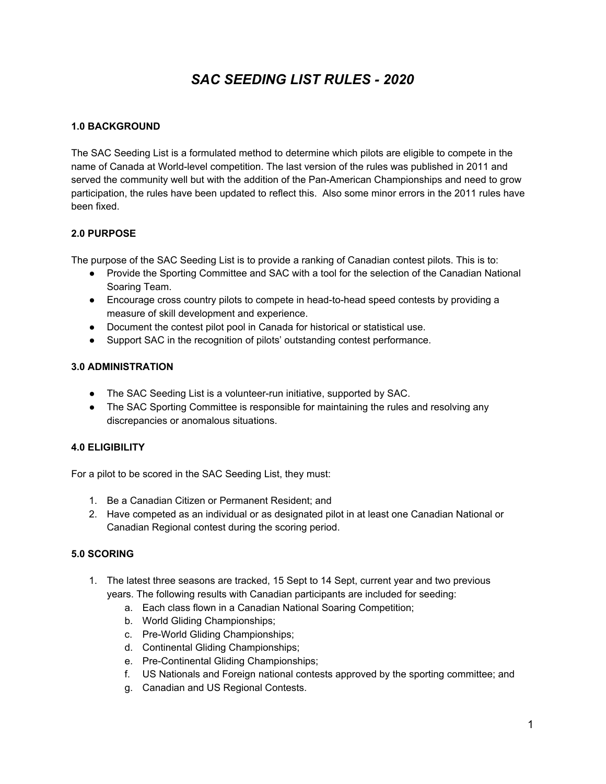# *SAC SEEDING LIST RULES - 2020*

# **1.0 BACKGROUND**

The SAC Seeding List is a formulated method to determine which pilots are eligible to compete in the name of Canada at World-level competition. The last version of the rules was published in 2011 and served the community well but with the addition of the Pan-American Championships and need to grow participation, the rules have been updated to reflect this. Also some minor errors in the 2011 rules have been fixed.

## **2.0 PURPOSE**

The purpose of the SAC Seeding List is to provide a ranking of Canadian contest pilots. This is to:

- Provide the Sporting Committee and SAC with a tool for the selection of the Canadian National Soaring Team.
- Encourage cross country pilots to compete in head-to-head speed contests by providing a measure of skill development and experience.
- Document the contest pilot pool in Canada for historical or statistical use.
- Support SAC in the recognition of pilots' outstanding contest performance.

#### **3.0 ADMINISTRATION**

- The SAC Seeding List is a volunteer-run initiative, supported by SAC.
- The SAC Sporting Committee is responsible for maintaining the rules and resolving any discrepancies or anomalous situations.

# **4.0 ELIGIBILITY**

For a pilot to be scored in the SAC Seeding List, they must:

- 1. Be a Canadian Citizen or Permanent Resident; and
- 2. Have competed as an individual or as designated pilot in at least one Canadian National or Canadian Regional contest during the scoring period.

#### **5.0 SCORING**

- 1. The latest three seasons are tracked, 15 Sept to 14 Sept, current year and two previous years. The following results with Canadian participants are included for seeding:
	- a. Each class flown in a Canadian National Soaring Competition;
	- b. World Gliding Championships;
	- c. Pre-World Gliding Championships;
	- d. Continental Gliding Championships;
	- e. Pre-Continental Gliding Championships;
	- f. US Nationals and Foreign national contests approved by the sporting committee; and
	- g. Canadian and US Regional Contests.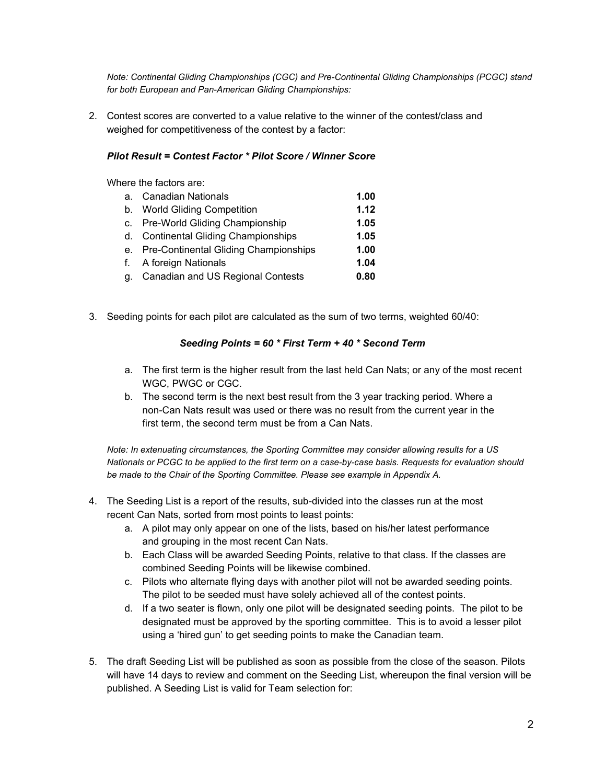*Note: Continental Gliding Championships (CGC) and Pre-Continental Gliding Championships (PCGC) stand for both European and Pan-American Gliding Championships:*

2. Contest scores are converted to a value relative to the winner of the contest/class and weighed for competitiveness of the contest by a factor:

#### *Pilot Result = Contest Factor \* Pilot Score / Winner Score*

Where the factors are:

| a. Canadian Nationals                    | 1.00 |
|------------------------------------------|------|
| b. World Gliding Competition             | 1.12 |
| c. Pre-World Gliding Championship        | 1.05 |
| d. Continental Gliding Championships     | 1.05 |
| e. Pre-Continental Gliding Championships | 1.00 |
| f. A foreign Nationals                   | 1.04 |
| g. Canadian and US Regional Contests     | 0.80 |

3. Seeding points for each pilot are calculated as the sum of two terms, weighted 60/40:

#### *Seeding Points = 60 \* First Term + 40 \* Second Term*

- a. The first term is the higher result from the last held Can Nats; or any of the most recent WGC, PWGC or CGC.
- b. The second term is the next best result from the 3 year tracking period. Where a non-Can Nats result was used or there was no result from the current year in the first term, the second term must be from a Can Nats.

*Note: In extenuating circumstances, the Sporting Committee may consider allowing results for a US Nationals or PCGC to be applied to the first term on a case-by-case basis. Requests for evaluation should be made to the Chair of the Sporting Committee. Please see example in Appendix A.*

- 4. The Seeding List is a report of the results, sub-divided into the classes run at the most recent Can Nats, sorted from most points to least points:
	- a. A pilot may only appear on one of the lists, based on his/her latest performance and grouping in the most recent Can Nats.
	- b. Each Class will be awarded Seeding Points, relative to that class. If the classes are combined Seeding Points will be likewise combined.
	- c. Pilots who alternate flying days with another pilot will not be awarded seeding points. The pilot to be seeded must have solely achieved all of the contest points.
	- d. If a two seater is flown, only one pilot will be designated seeding points. The pilot to be designated must be approved by the sporting committee. This is to avoid a lesser pilot using a 'hired gun' to get seeding points to make the Canadian team.
- 5. The draft Seeding List will be published as soon as possible from the close of the season. Pilots will have 14 days to review and comment on the Seeding List, whereupon the final version will be published. A Seeding List is valid for Team selection for: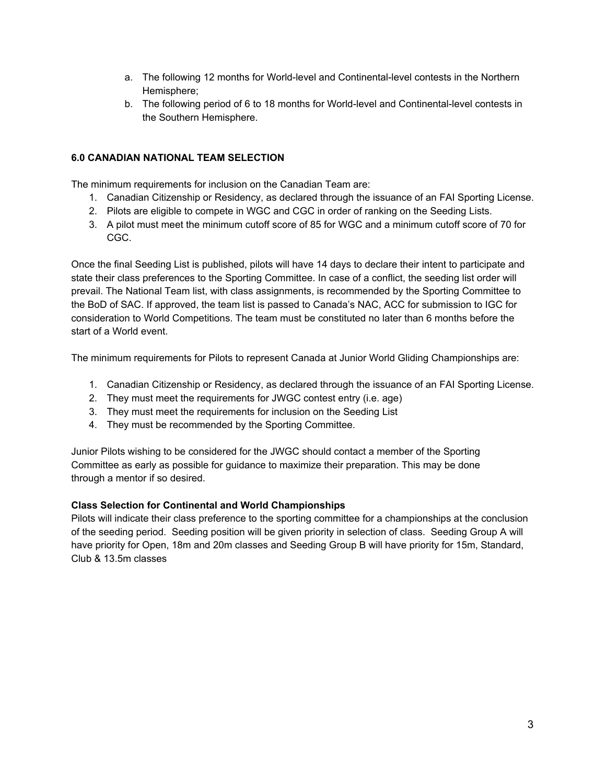- a. The following 12 months for World-level and Continental-level contests in the Northern Hemisphere;
- b. The following period of 6 to 18 months for World-level and Continental-level contests in the Southern Hemisphere.

# **6.0 CANADIAN NATIONAL TEAM SELECTION**

The minimum requirements for inclusion on the Canadian Team are:

- 1. Canadian Citizenship or Residency, as declared through the issuance of an FAI Sporting License.
- 2. Pilots are eligible to compete in WGC and CGC in order of ranking on the Seeding Lists.
- 3. A pilot must meet the minimum cutoff score of 85 for WGC and a minimum cutoff score of 70 for CGC.

Once the final Seeding List is published, pilots will have 14 days to declare their intent to participate and state their class preferences to the Sporting Committee. In case of a conflict, the seeding list order will prevail. The National Team list, with class assignments, is recommended by the Sporting Committee to the BoD of SAC. If approved, the team list is passed to Canada's NAC, ACC for submission to IGC for consideration to World Competitions. The team must be constituted no later than 6 months before the start of a World event.

The minimum requirements for Pilots to represent Canada at Junior World Gliding Championships are:

- 1. Canadian Citizenship or Residency, as declared through the issuance of an FAI Sporting License.
- 2. They must meet the requirements for JWGC contest entry (i.e. age)
- 3. They must meet the requirements for inclusion on the Seeding List
- 4. They must be recommended by the Sporting Committee.

Junior Pilots wishing to be considered for the JWGC should contact a member of the Sporting Committee as early as possible for guidance to maximize their preparation. This may be done through a mentor if so desired.

#### **Class Selection for Continental and World Championships**

Pilots will indicate their class preference to the sporting committee for a championships at the conclusion of the seeding period. Seeding position will be given priority in selection of class. Seeding Group A will have priority for Open, 18m and 20m classes and Seeding Group B will have priority for 15m, Standard, Club & 13.5m classes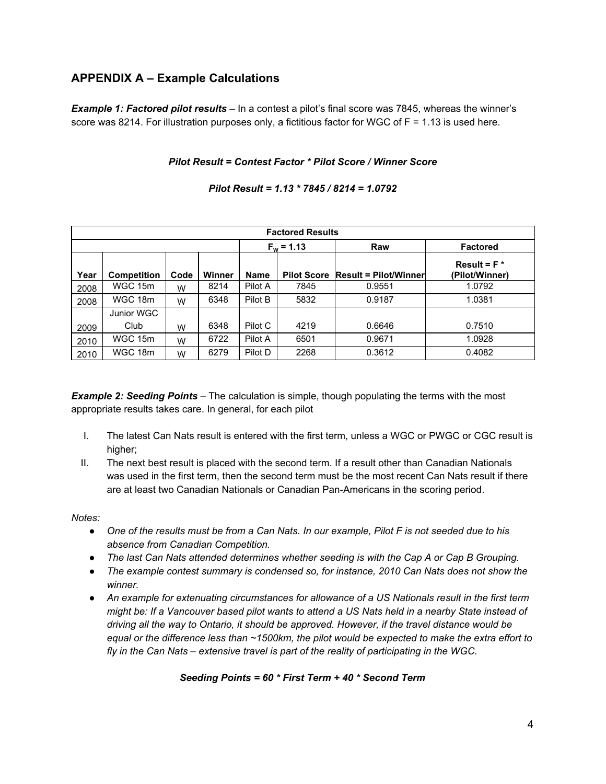# **APPENDIX A – Example Calculations**

*Example 1: Factored pilot results* – In a contest a pilot's final score was 7845, whereas the winner's score was 8214. For illustration purposes only, a fictitious factor for WGC of F = 1.13 is used here.

## *Pilot Result = Contest Factor \* Pilot Score / Winner Score*

| <b>Factored Results</b> |                    |      |        |              |                    |                              |                                  |
|-------------------------|--------------------|------|--------|--------------|--------------------|------------------------------|----------------------------------|
|                         |                    |      |        | $F_w = 1.13$ |                    | Raw                          | <b>Factored</b>                  |
| Year                    | <b>Competition</b> | Code | Winner | <b>Name</b>  | <b>Pilot Score</b> | <b>Result = Pilot/Winner</b> | Result = $F^*$<br>(Pilot/Winner) |
| 2008                    | WGC 15m            | W    | 8214   | Pilot A      | 7845               | 0.9551                       | 1.0792                           |
| 2008                    | WGC 18m            | W    | 6348   | Pilot B      | 5832               | 0.9187                       | 1.0381                           |
|                         | Junior WGC         |      |        |              |                    |                              |                                  |
| 2009                    | Club               | w    | 6348   | Pilot C      | 4219               | 0.6646                       | 0.7510                           |
| 2010                    | WGC 15m            | W    | 6722   | Pilot A      | 6501               | 0.9671                       | 1.0928                           |
| 2010                    | WGC 18m            | w    | 6279   | Pilot D      | 2268               | 0.3612                       | 0.4082                           |

*Pilot Result = 1.13 \* 7845 / 8214 = 1.0792*

*Example 2: Seeding Points* – The calculation is simple, though populating the terms with the most appropriate results takes care. In general, for each pilot

- I. The latest Can Nats result is entered with the first term, unless a WGC or PWGC or CGC result is higher;
- II. The next best result is placed with the second term. If a result other than Canadian Nationals was used in the first term, then the second term must be the most recent Can Nats result if there are at least two Canadian Nationals or Canadian Pan-Americans in the scoring period.

*Notes:*

- One of the results must be from a Can Nats. In our example, Pilot F is not seeded due to his *absence from Canadian Competition.*
- *● The last Can Nats attended determines whether seeding is with the Cap A or Cap B Grouping.*
- *● The example contest summary is condensed so, for instance, 2010 Can Nats does not show the winner.*
- *An example for extenuating circumstances for allowance of a US Nationals result in the first term* might be: If a Vancouver based pilot wants to attend a US Nats held in a nearby State instead of *driving all the way to Ontario, it should be approved. However, if the travel distance would be equal or the difference less than ~1500km, the pilot would be expected to make the extra effort to fly in the Can Nats – extensive travel is part of the reality of participating in the WGC.*

# *Seeding Points = 60 \* First Term + 40 \* Second Term*